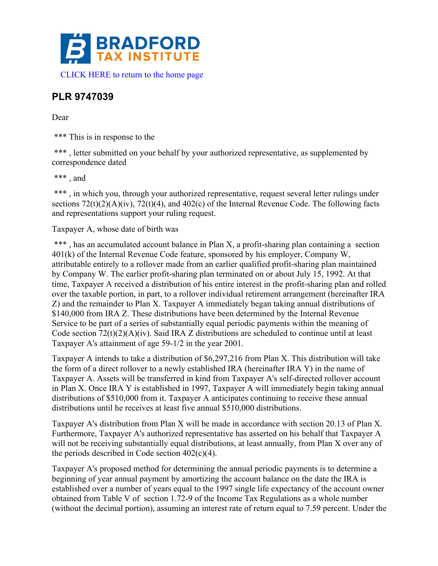

## **PLR 9747039**

## Dear

\*\*\* This is in response to the

\*\*\*, letter submitted on your behalf by your authorized representative, as supplemented by correspondence dated

 $***$  and

\*\*\*, in which you, through your authorized representative, request several letter rulings under sections  $72(t)(2)(A)(iv)$ ,  $72(t)(4)$ , and  $402(c)$  of the Internal Revenue Code. The following facts and representations support your ruling request.

## Taxpayer A, whose date of birth was

\*\*\*, has an accumulated account balance in Plan X, a profit-sharing plan containing a section 401(k) of the Internal Revenue Code feature, sponsored by his employer, Company W, attributable entirely to a rollover made from an earlier qualified profit-sharing plan maintained by Company W. The earlier profit-sharing plan terminated on or about July 15, 1992. At that time, Taxpayer A received a distribution of his entire interest in the profit-sharing plan and rolled over the taxable portion, in part, to a rollover individual retirement arrangement (hereinafter IRA Z) and the remainder to Plan X. Taxpayer A immediately began taking annual distributions of \$140,000 from IRA Z. These distributions have been determined by the Internal Revenue Service to be part of a series of substantially equal periodic payments within the meaning of Code section  $72(t)(2)(A)(iv)$ . Said IRA Z distributions are scheduled to continue until at least Taxpayer A's attainment of age 59-1/2 in the year 2001.

Taxpayer A intends to take a distribution of \$6,297,216 from Plan X. This distribution will take the form of a direct rollover to a newly established IRA (hereinafter IRA Y) in the name of Taxpayer A. Assets will be transferred in kind from Taxpayer A's self-directed rollover account in Plan X. Once IRA Y is established in 1997, Taxpayer A will immediately begin taking annual distributions of \$510,000 from it. Taxpayer A anticipates continuing to receive these annual distributions until he receives at least five annual \$510,000 distributions.

Taxpayer A's distribution from Plan X will be made in accordance with section 20.13 of Plan X. Furthermore, Taxpayer A's authorized representative has asserted on his behalf that Taxpayer A will not be receiving substantially equal distributions, at least annually, from Plan X over any of the periods described in Code section  $402(c)(4)$ .

Taxpayer A's proposed method for determining the annual periodic payments is to determine a beginning of year annual payment by amortizing the account balance on the date the IRA is established over a number of years equal to the 1997 single life expectancy of the account owner obtained from Table V of section 1.72-9 of the Income Tax Regulations as a whole number (without the decimal portion), assuming an interest rate of return equal to 7.59 percent. Under the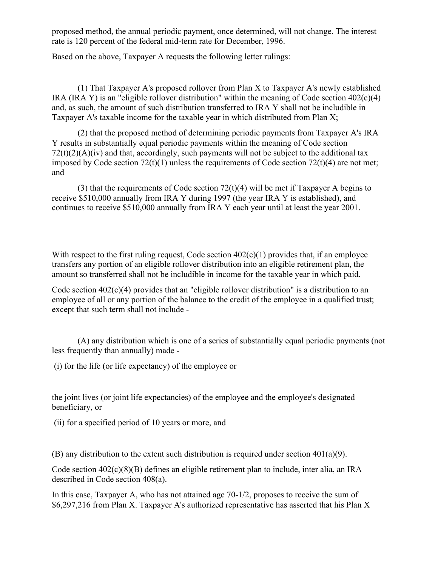proposed method, the annual periodic payment, once determined, will not change. The interest rate is 120 percent of the federal mid-term rate for December, 1996.

Based on the above, Taxpayer A requests the following letter rulings:

(1) That Taxpayer A's proposed rollover from Plan X to Taxpayer A's newly established IRA (IRA Y) is an "eligible rollover distribution" within the meaning of Code section  $402(c)(4)$ and, as such, the amount of such distribution transferred to IRA Y shall not be includible in Taxpayer A's taxable income for the taxable year in which distributed from Plan X;

(2) that the proposed method of determining periodic payments from Taxpayer A's IRA Y results in substantially equal periodic payments within the meaning of Code section  $72(t)(2)(A)(iv)$  and that, accordingly, such payments will not be subject to the additional tax imposed by Code section  $72(t)(1)$  unless the requirements of Code section  $72(t)(4)$  are not met; and

(3) that the requirements of Code section  $72(t)(4)$  will be met if Taxpayer A begins to receive \$510,000 annually from IRA Y during 1997 (the year IRA Y is established), and continues to receive \$510,000 annually from IRA Y each year until at least the year 2001.

With respect to the first ruling request, Code section  $402(c)(1)$  provides that, if an employee transfers any portion of an eligible rollover distribution into an eligible retirement plan, the amount so transferred shall not be includible in income for the taxable year in which paid.

Code section 402(c)(4) provides that an "eligible rollover distribution" is a distribution to an employee of all or any portion of the balance to the credit of the employee in a qualified trust; except that such term shall not include -

(A) any distribution which is one of a series of substantially equal periodic payments (not less frequently than annually) made -

(i) for the life (or life expectancy) of the employee or

the joint lives (or joint life expectancies) of the employee and the employee's designated beneficiary, or

(ii) for a specified period of 10 years or more, and

(B) any distribution to the extent such distribution is required under section 401(a)(9).

Code section 402(c)(8)(B) defines an eligible retirement plan to include, inter alia, an IRA described in Code section 408(a).

In this case, Taxpayer A, who has not attained age 70-1/2, proposes to receive the sum of \$6,297,216 from Plan X. Taxpayer A's authorized representative has asserted that his Plan X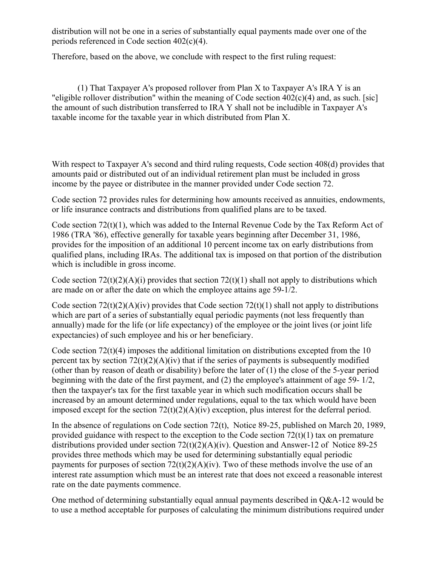distribution will not be one in a series of substantially equal payments made over one of the periods referenced in Code section 402(c)(4).

Therefore, based on the above, we conclude with respect to the first ruling request:

(1) That Taxpayer A's proposed rollover from Plan X to Taxpayer A's IRA Y is an "eligible rollover distribution" within the meaning of Code section 402(c)(4) and, as such. [sic] the amount of such distribution transferred to IRA Y shall not be includible in Taxpayer A's taxable income for the taxable year in which distributed from Plan X.

With respect to Taxpayer A's second and third ruling requests, Code section 408(d) provides that amounts paid or distributed out of an individual retirement plan must be included in gross income by the payee or distributee in the manner provided under Code section 72.

Code section 72 provides rules for determining how amounts received as annuities, endowments, or life insurance contracts and distributions from qualified plans are to be taxed.

Code section 72(t)(1), which was added to the Internal Revenue Code by the Tax Reform Act of 1986 (TRA '86), effective generally for taxable years beginning after December 31, 1986, provides for the imposition of an additional 10 percent income tax on early distributions from qualified plans, including IRAs. The additional tax is imposed on that portion of the distribution which is includible in gross income.

Code section  $72(t)(2)(A)(i)$  provides that section  $72(t)(1)$  shall not apply to distributions which are made on or after the date on which the employee attains age 59-1/2.

Code section  $72(t)(2)(A)(iv)$  provides that Code section  $72(t)(1)$  shall not apply to distributions which are part of a series of substantially equal periodic payments (not less frequently than annually) made for the life (or life expectancy) of the employee or the joint lives (or joint life expectancies) of such employee and his or her beneficiary.

Code section 72(t)(4) imposes the additional limitation on distributions excepted from the 10 percent tax by section  $72(t)(2)(A)(iv)$  that if the series of payments is subsequently modified (other than by reason of death or disability) before the later of (1) the close of the 5-year period beginning with the date of the first payment, and (2) the employee's attainment of age 59- 1/2, then the taxpayer's tax for the first taxable year in which such modification occurs shall be increased by an amount determined under regulations, equal to the tax which would have been imposed except for the section  $72(t)(2)(A)(iv)$  exception, plus interest for the deferral period.

In the absence of regulations on Code section 72(t), Notice 89-25, published on March 20, 1989, provided guidance with respect to the exception to the Code section  $72(t)(1)$  tax on premature distributions provided under section 72(t)(2)(A)(iv). Question and Answer-12 of Notice 89-25 provides three methods which may be used for determining substantially equal periodic payments for purposes of section  $72(t)(2)(A)(iv)$ . Two of these methods involve the use of an interest rate assumption which must be an interest rate that does not exceed a reasonable interest rate on the date payments commence.

One method of determining substantially equal annual payments described in Q&A-12 would be to use a method acceptable for purposes of calculating the minimum distributions required under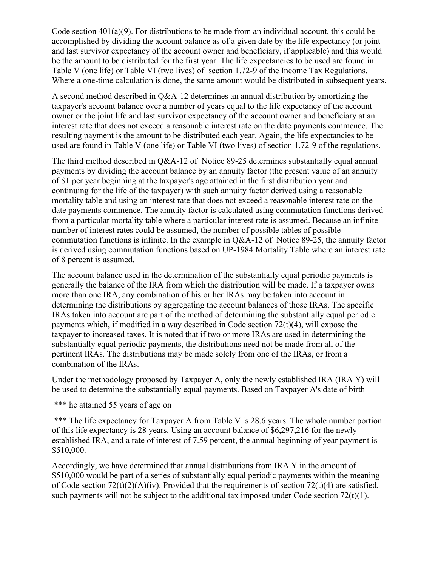Code section 401(a)(9). For distributions to be made from an individual account, this could be accomplished by dividing the account balance as of a given date by the life expectancy (or joint and last survivor expectancy of the account owner and beneficiary, if applicable) and this would be the amount to be distributed for the first year. The life expectancies to be used are found in Table V (one life) or Table VI (two lives) of section 1.72-9 of the Income Tax Regulations. Where a one-time calculation is done, the same amount would be distributed in subsequent years.

A second method described in Q&A-12 determines an annual distribution by amortizing the taxpayer's account balance over a number of years equal to the life expectancy of the account owner or the joint life and last survivor expectancy of the account owner and beneficiary at an interest rate that does not exceed a reasonable interest rate on the date payments commence. The resulting payment is the amount to be distributed each year. Again, the life expectancies to be used are found in Table V (one life) or Table VI (two lives) of section 1.72-9 of the regulations.

The third method described in Q&A-12 of Notice 89-25 determines substantially equal annual payments by dividing the account balance by an annuity factor (the present value of an annuity of \$1 per year beginning at the taxpayer's age attained in the first distribution year and continuing for the life of the taxpayer) with such annuity factor derived using a reasonable mortality table and using an interest rate that does not exceed a reasonable interest rate on the date payments commence. The annuity factor is calculated using commutation functions derived from a particular mortality table where a particular interest rate is assumed. Because an infinite number of interest rates could be assumed, the number of possible tables of possible commutation functions is infinite. In the example in Q&A-12 of Notice 89-25, the annuity factor is derived using commutation functions based on UP-1984 Mortality Table where an interest rate of 8 percent is assumed.

The account balance used in the determination of the substantially equal periodic payments is generally the balance of the IRA from which the distribution will be made. If a taxpayer owns more than one IRA, any combination of his or her IRAs may be taken into account in determining the distributions by aggregating the account balances of those IRAs. The specific IRAs taken into account are part of the method of determining the substantially equal periodic payments which, if modified in a way described in Code section 72(t)(4), will expose the taxpayer to increased taxes. It is noted that if two or more IRAs are used in determining the substantially equal periodic payments, the distributions need not be made from all of the pertinent IRAs. The distributions may be made solely from one of the IRAs, or from a combination of the IRAs.

Under the methodology proposed by Taxpayer A, only the newly established IRA (IRA Y) will be used to determine the substantially equal payments. Based on Taxpayer A's date of birth

\*\*\* he attained 55 years of age on

\*\*\* The life expectancy for Taxpayer A from Table V is 28.6 years. The whole number portion of this life expectancy is 28 years. Using an account balance of \$6,297,216 for the newly established IRA, and a rate of interest of 7.59 percent, the annual beginning of year payment is \$510,000.

Accordingly, we have determined that annual distributions from IRA Y in the amount of \$510,000 would be part of a series of substantially equal periodic payments within the meaning of Code section  $72(t)(2)(A)(iv)$ . Provided that the requirements of section  $72(t)(4)$  are satisfied, such payments will not be subject to the additional tax imposed under Code section  $72(t)(1)$ .